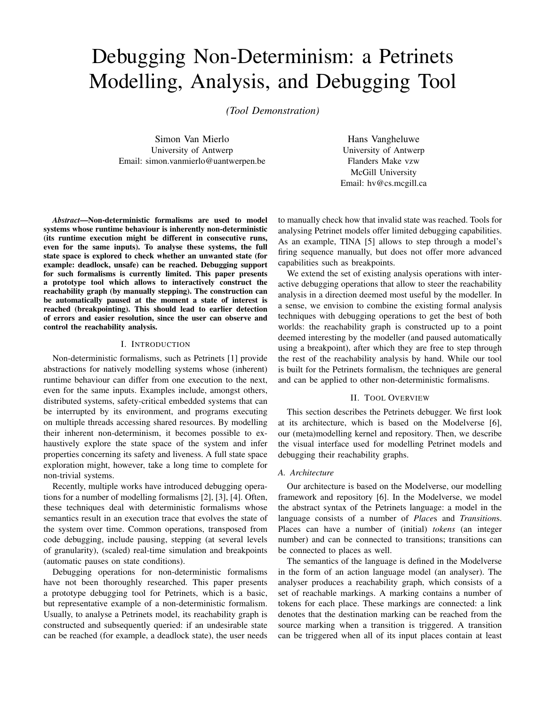# Debugging Non-Determinism: a Petrinets Modelling, Analysis, and Debugging Tool

*(Tool Demonstration)*

Simon Van Mierlo University of Antwerp Email: simon.vanmierlo@uantwerpen.be

Hans Vangheluwe University of Antwerp Flanders Make vzw McGill University Email: hv@cs.mcgill.ca

*Abstract*—Non-deterministic formalisms are used to model systems whose runtime behaviour is inherently non-deterministic (its runtime execution might be different in consecutive runs, even for the same inputs). To analyse these systems, the full state space is explored to check whether an unwanted state (for example: deadlock, unsafe) can be reached. Debugging support for such formalisms is currently limited. This paper presents a prototype tool which allows to interactively construct the reachability graph (by manually stepping). The construction can be automatically paused at the moment a state of interest is reached (breakpointing). This should lead to earlier detection of errors and easier resolution, since the user can observe and control the reachability analysis.

## I. INTRODUCTION

Non-deterministic formalisms, such as Petrinets [1] provide abstractions for natively modelling systems whose (inherent) runtime behaviour can differ from one execution to the next, even for the same inputs. Examples include, amongst others, distributed systems, safety-critical embedded systems that can be interrupted by its environment, and programs executing on multiple threads accessing shared resources. By modelling their inherent non-determinism, it becomes possible to exhaustively explore the state space of the system and infer properties concerning its safety and liveness. A full state space exploration might, however, take a long time to complete for non-trivial systems.

Recently, multiple works have introduced debugging operations for a number of modelling formalisms [2], [3], [4]. Often, these techniques deal with deterministic formalisms whose semantics result in an execution trace that evolves the state of the system over time. Common operations, transposed from code debugging, include pausing, stepping (at several levels of granularity), (scaled) real-time simulation and breakpoints (automatic pauses on state conditions).

Debugging operations for non-deterministic formalisms have not been thoroughly researched. This paper presents a prototype debugging tool for Petrinets, which is a basic, but representative example of a non-deterministic formalism. Usually, to analyse a Petrinets model, its reachability graph is constructed and subsequently queried: if an undesirable state can be reached (for example, a deadlock state), the user needs to manually check how that invalid state was reached. Tools for analysing Petrinet models offer limited debugging capabilities. As an example, TINA [5] allows to step through a model's firing sequence manually, but does not offer more advanced capabilities such as breakpoints.

We extend the set of existing analysis operations with interactive debugging operations that allow to steer the reachability analysis in a direction deemed most useful by the modeller. In a sense, we envision to combine the existing formal analysis techniques with debugging operations to get the best of both worlds: the reachability graph is constructed up to a point deemed interesting by the modeller (and paused automatically using a breakpoint), after which they are free to step through the rest of the reachability analysis by hand. While our tool is built for the Petrinets formalism, the techniques are general and can be applied to other non-deterministic formalisms.

# II. TOOL OVERVIEW

This section describes the Petrinets debugger. We first look at its architecture, which is based on the Modelverse [6], our (meta)modelling kernel and repository. Then, we describe the visual interface used for modelling Petrinet models and debugging their reachability graphs.

#### *A. Architecture*

Our architecture is based on the Modelverse, our modelling framework and repository [6]. In the Modelverse, we model the abstract syntax of the Petrinets language: a model in the language consists of a number of *Place*s and *Transition*s. Places can have a number of (initial) *tokens* (an integer number) and can be connected to transitions; transitions can be connected to places as well.

The semantics of the language is defined in the Modelverse in the form of an action language model (an analyser). The analyser produces a reachability graph, which consists of a set of reachable markings. A marking contains a number of tokens for each place. These markings are connected: a link denotes that the destination marking can be reached from the source marking when a transition is triggered. A transition can be triggered when all of its input places contain at least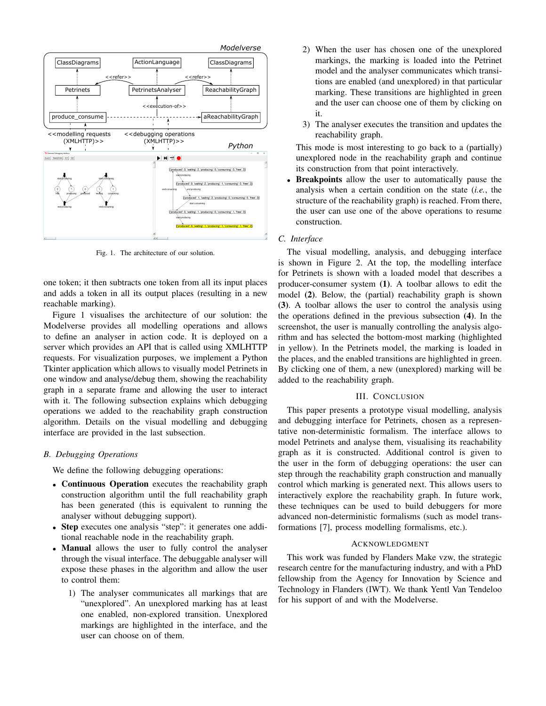

Fig. 1. The architecture of our solution.

one token; it then subtracts one token from all its input places and adds a token in all its output places (resulting in a new reachable marking).

Figure 1 visualises the architecture of our solution: the Modelverse provides all modelling operations and allows to define an analyser in action code. It is deployed on a server which provides an API that is called using XMLHTTP requests. For visualization purposes, we implement a Python Tkinter application which allows to visually model Petrinets in one window and analyse/debug them, showing the reachability graph in a separate frame and allowing the user to interact with it. The following subsection explains which debugging operations we added to the reachability graph construction algorithm. Details on the visual modelling and debugging interface are provided in the last subsection.

# *B. Debugging Operations*

We define the following debugging operations:

- Continuous Operation executes the reachability graph construction algorithm until the full reachability graph has been generated (this is equivalent to running the analyser without debugging support).
- Step executes one analysis "step": it generates one additional reachable node in the reachability graph.
- Manual allows the user to fully control the analyser through the visual interface. The debuggable analyser will expose these phases in the algorithm and allow the user to control them:
	- 1) The analyser communicates all markings that are "unexplored". An unexplored marking has at least one enabled, non-explored transition. Unexplored markings are highlighted in the interface, and the user can choose on of them.
- 2) When the user has chosen one of the unexplored markings, the marking is loaded into the Petrinet model and the analyser communicates which transitions are enabled (and unexplored) in that particular marking. These transitions are highlighted in green and the user can choose one of them by clicking on it.
- 3) The analyser executes the transition and updates the reachability graph.

This mode is most interesting to go back to a (partially) unexplored node in the reachability graph and continue its construction from that point interactively.

**Breakpoints** allow the user to automatically pause the analysis when a certain condition on the state (*i.e.*, the structure of the reachability graph) is reached. From there, the user can use one of the above operations to resume construction.

#### *C. Interface*

The visual modelling, analysis, and debugging interface is shown in Figure 2. At the top, the modelling interface for Petrinets is shown with a loaded model that describes a producer-consumer system (1). A toolbar allows to edit the model (2). Below, the (partial) reachability graph is shown (3). A toolbar allows the user to control the analysis using the operations defined in the previous subsection (4). In the screenshot, the user is manually controlling the analysis algorithm and has selected the bottom-most marking (highlighted in yellow). In the Petrinets model, the marking is loaded in the places, and the enabled transitions are highlighted in green. By clicking one of them, a new (unexplored) marking will be added to the reachability graph.

#### III. CONCLUSION

This paper presents a prototype visual modelling, analysis and debugging interface for Petrinets, chosen as a representative non-deterministic formalism. The interface allows to model Petrinets and analyse them, visualising its reachability graph as it is constructed. Additional control is given to the user in the form of debugging operations: the user can step through the reachability graph construction and manually control which marking is generated next. This allows users to interactively explore the reachability graph. In future work, these techniques can be used to build debuggers for more advanced non-deterministic formalisms (such as model transformations [7], process modelling formalisms, etc.).

# ACKNOWLEDGMENT

This work was funded by Flanders Make vzw, the strategic research centre for the manufacturing industry, and with a PhD fellowship from the Agency for Innovation by Science and Technology in Flanders (IWT). We thank Yentl Van Tendeloo for his support of and with the Modelverse.